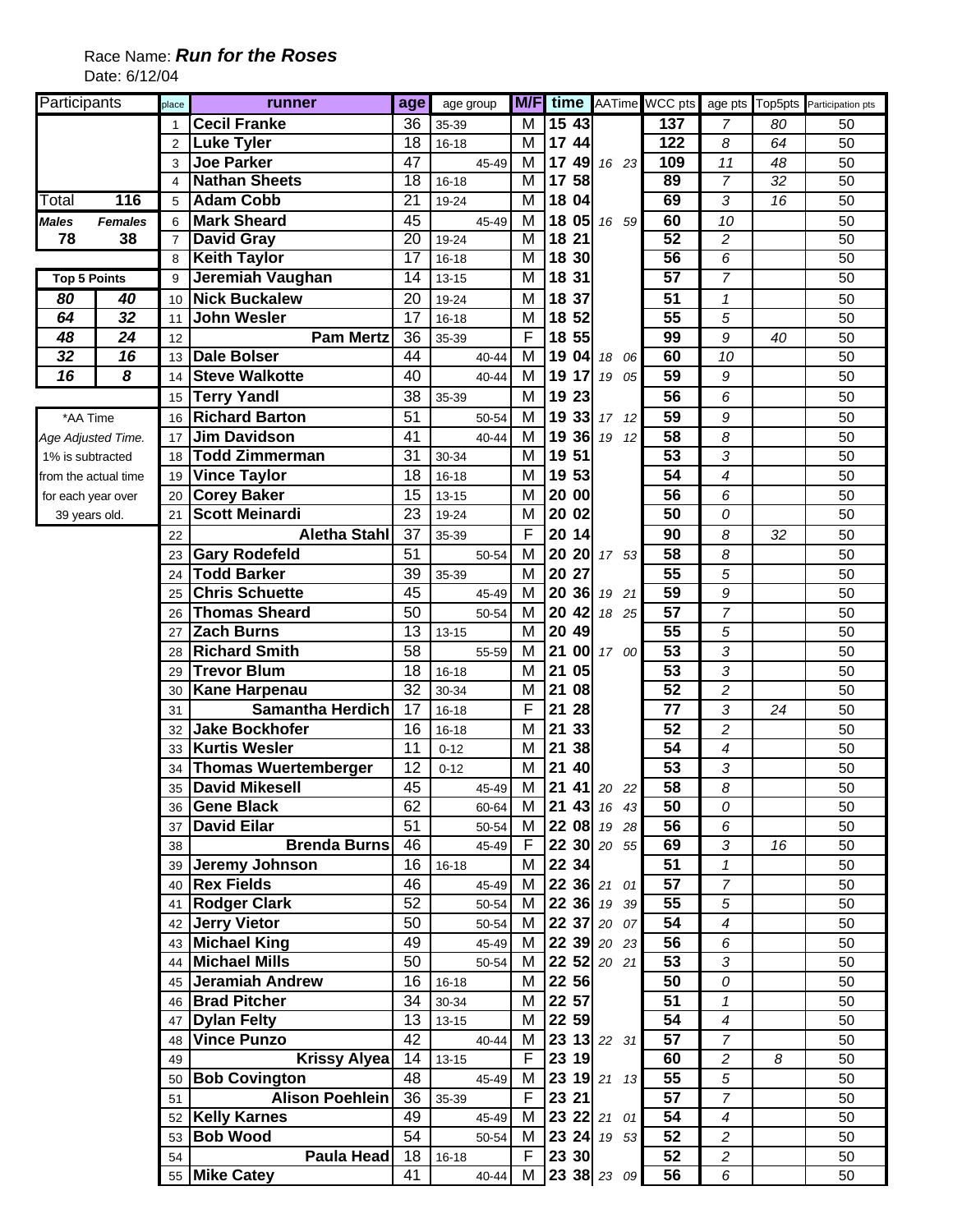| Participants         |                | place           | runner                      | age             | age group |                |          |                    |                 |                         |    | <b>M/F</b> time AATime WCC pts age pts Top5pts Participation pts |
|----------------------|----------------|-----------------|-----------------------------|-----------------|-----------|----------------|----------|--------------------|-----------------|-------------------------|----|------------------------------------------------------------------|
|                      |                |                 | <b>Cecil Franke</b>         | 36              | 35-39     | м              | 15 43    |                    | 137             | 7                       | 80 | 50                                                               |
|                      |                | $\overline{2}$  | <b>Luke Tyler</b>           | 18              | 16-18     | M              | 17 44    |                    | 122             | 8                       | 64 | 50                                                               |
|                      |                | 3               | <b>Joe Parker</b>           | 47              | 45-49     | M              | 17       | 49 16 23           | 109             | 11                      | 48 | 50                                                               |
|                      |                | 4               | <b>Nathan Sheets</b>        | $\overline{18}$ | $16 - 18$ | M              | 17 58    |                    | 89              | $\overline{7}$          | 32 | $\overline{50}$                                                  |
| Total                | 116            | 5               | <b>Adam Cobb</b>            | $\overline{21}$ | 19-24     | М              | 18 04    |                    | 69              | 3                       | 16 | 50                                                               |
| <b>Males</b>         | <b>Females</b> | 6               | <b>Mark Sheard</b>          | 45              | 45-49     | M              |          | 18 05 16 59        | 60              | 10                      |    | 50                                                               |
| 78                   | 38             | $\overline{7}$  | <b>David Gray</b>           | 20              | 19-24     | M              | 18 21    |                    | 52              | $\overline{c}$          |    | 50                                                               |
|                      |                | 8               | <b>Keith Taylor</b>         | $\overline{17}$ | $16 - 18$ | M              | 18 30    |                    | 56              | 6                       |    | 50                                                               |
| <b>Top 5 Points</b>  |                | 9               | Jeremiah Vaughan            | 14              | $13 - 15$ | M              | 18 31    |                    | 57              | 7                       |    | 50                                                               |
| 80                   | 40             | 10              | <b>Nick Buckalew</b>        | 20              | 19-24     | M              | 18 37    |                    | 51              | $\mathcal I$            |    | 50                                                               |
| 64                   | 32             | 11              | <b>John Wesler</b>          | 17              | $16 - 18$ | M              | 18 52    |                    | 55              | 5                       |    | 50                                                               |
| 48                   | 24             | 12              | <b>Pam Mertz</b>            | 36              | 35-39     | F              | 18 55    |                    | 99              | 9                       | 40 | 50                                                               |
| 32                   | 16             | 13              | <b>Dale Bolser</b>          | 44              | 40-44     | M              | 19       | 04 18<br>06        | 60              | 10                      |    | 50                                                               |
| 16                   | 8              | 14              | <b>Steve Walkotte</b>       | 40              | 40-44     | M              | 19<br>17 | 19 05              | $\overline{59}$ | 9                       |    | 50                                                               |
|                      |                | 15              | <b>Terry Yandl</b>          | 38              | 35-39     | M              | 19 23    |                    | 56              | 6                       |    | 50                                                               |
| *AA Time             |                | 16              | <b>Richard Barton</b>       | 51              | 50-54     | M              | 33<br>19 | 17, 12             | 59              | 9                       |    | 50                                                               |
| Age Adjusted Time.   |                | 17              | <b>Jim Davidson</b>         | 41              | 40-44     | M              | 19       | $36 \t19$<br>12    | 58              | 8                       |    | 50                                                               |
| 1% is subtracted     |                | 18              | <b>Todd Zimmerman</b>       | 31              | 30-34     | M              | 19 51    |                    | 53              | 3                       |    | 50                                                               |
| from the actual time |                | 19              | <b>Vince Taylor</b>         | 18              | $16 - 18$ | M              | 19 53    |                    | 54              | 4                       |    | 50                                                               |
| for each year over   |                | 20              | <b>Corey Baker</b>          | 15              | 13-15     | M              | 20 00    |                    | 56              | 6                       |    | 50                                                               |
| 39 years old.        |                | 21              | <b>Scott Meinardi</b>       | 23              | 19-24     | M              | 20 02    |                    | 50              | 0                       |    | 50                                                               |
|                      |                | 22              | <b>Aletha Stahl</b>         | 37              | 35-39     | F              | 20 14    |                    | 90              | 8                       | 32 | 50                                                               |
|                      |                | 23              | <b>Gary Rodefeld</b>        | 51              | 50-54     | M              | 20       | 20 17 53           | 58              | 8                       |    | 50                                                               |
|                      |                | 24              | <b>Todd Barker</b>          | 39              | 35-39     | M              | 20 27    |                    | $\overline{55}$ | 5                       |    | 50                                                               |
|                      |                | 25              | <b>Chris Schuette</b>       | 45              | 45-49     | м              | 20<br>36 | 19 21              | 59              | 9                       |    | 50                                                               |
|                      |                | 26              | <b>Thomas Sheard</b>        | 50              | 50-54     | M              | 20<br>42 | 18 25              | $\overline{57}$ | $\overline{7}$          |    | 50                                                               |
|                      |                | 27              | <b>Zach Burns</b>           | 13              | $13 - 15$ | M              | 20 49    |                    | $\overline{55}$ | 5                       |    | 50                                                               |
|                      |                | 28              | <b>Richard Smith</b>        | 58              | 55-59     | M              | 21       | 00 17 00           | 53              | 3                       |    | 50                                                               |
|                      |                | 29              | <b>Trevor Blum</b>          | 18              | $16 - 18$ | M              | 21<br>05 |                    | 53              | 3                       |    | 50                                                               |
|                      |                | 30              | <b>Kane Harpenau</b>        | 32              | 30-34     | M              | 21<br>08 |                    | 52              | $\overline{\mathbf{c}}$ |    | 50                                                               |
|                      |                | 31              | <b>Samantha Herdich</b>     | 17              | $16 - 18$ | F              | 21<br>28 |                    | 77              | 3                       | 24 | 50                                                               |
|                      |                | 32              | Jake Bockhofer              | 16              | $16 - 18$ | M              | 21<br>33 |                    | 52              | $\overline{c}$          |    | 50                                                               |
|                      |                | 33              | <b>Kurtis Wesler</b>        | 11              | $0 - 12$  | M              | 21<br>38 |                    | 54              | 4                       |    | 50                                                               |
|                      |                | 34              | <b>Thomas Wuertemberger</b> | 12              | $0 - 12$  | M              | 21<br>40 |                    | 53              | 3                       |    | 50                                                               |
|                      |                |                 | 35 David Mikesell           | $\overline{45}$ | 45-49     | M              |          | <b>21 41 20 22</b> | 58              | 8                       |    | 50                                                               |
|                      |                |                 | 36 Gene Black               | 62              | 60-64     | M              |          | 21 43 16 43        | 50              | 0                       |    | 50                                                               |
|                      |                |                 | 37 David Eilar              | 51              | 50-54     | M              |          | 22 08 19 28        | 56              | 6                       |    | 50                                                               |
|                      |                | 38              | <b>Brenda Burns</b>         | 46              | 45-49     | F.             |          | 22 30 20 55        | 69              | 3                       | 16 | 50                                                               |
|                      |                |                 | 39 Jeremy Johnson           | 16              | $16 - 18$ | М              | 22 34    |                    | 51              | $\mathbf{1}$            |    | 50                                                               |
|                      |                |                 | 40 Rex Fields               | 46              | 45-49     | М              |          | 22 36 21 01        | $\overline{57}$ | $\overline{7}$          |    | 50                                                               |
|                      |                |                 | 41 Rodger Clark             | 52              | 50-54     | М              |          | 22 36 19 39        | 55              | 5                       |    | 50                                                               |
|                      |                |                 | 42 Jerry Vietor             | 50              | 50-54     | M              |          | 22 37 20 07        | 54              | 4                       |    | 50                                                               |
|                      |                |                 | 43 Michael King             | 49              | 45-49 M   |                |          | 22 39 20 23        | 56              | 6                       |    | 50                                                               |
|                      |                |                 | 44 Michael Mills            | 50              | 50-54 M   |                |          | 22 52 20 21        | 53              | 3                       |    | 50                                                               |
|                      |                |                 | 45 Jeramiah Andrew          | 16              | $16 - 18$ | M              | 22 56    |                    | 50              | 0                       |    | 50                                                               |
|                      |                |                 | 46 Brad Pitcher             | 34              | 30-34     | М              | 22 57    |                    | 51              | $\mathbf{1}$            |    | 50                                                               |
|                      |                |                 | 47 Dylan Felty              | 13              | $13 - 15$ |                | M 22 59  |                    | 54              | 4                       |    | 50                                                               |
|                      |                | 48              | <b>Vince Punzo</b>          | 42              | 40-44     | M              |          | 23 13 22 31        | 57              | $\overline{7}$          |    | 50                                                               |
|                      |                | 49              | <b>Krissy Alyea</b>         | 14              | $13 - 15$ | F.             | 23 19    |                    | 60              | 2                       | 8  | 50                                                               |
|                      |                | 50 <sup>1</sup> | <b>Bob Covington</b>        | 48              | 45-49     | М              |          | 23 19 21 13        | 55              | 5                       |    | 50                                                               |
|                      |                | 51              | <b>Alison Poehlein</b>      | 36              | 35-39     | $\overline{F}$ | 23 21    |                    | $\overline{57}$ | $\overline{7}$          |    | 50                                                               |
|                      |                | 52              | <b>Kelly Karnes</b>         | 49              | 45-49     | М              |          | 23 22 21 01        | 54              | 4                       |    | 50                                                               |
|                      |                | 53              | <b>Bob Wood</b>             | 54              | 50-54     | М              |          | 23 24 19 53        | $\overline{5}2$ | 2                       |    | 50                                                               |
|                      |                | 54              | Paula Head                  | 18              | $16 - 18$ | $\overline{F}$ | 23 30    |                    | 52              | $\overline{c}$          |    | 50                                                               |
|                      |                |                 | 55 Mike Catey               | 41              | 40-44     | M              |          | 23 38 23 09        | 56              | 6                       |    | 50                                                               |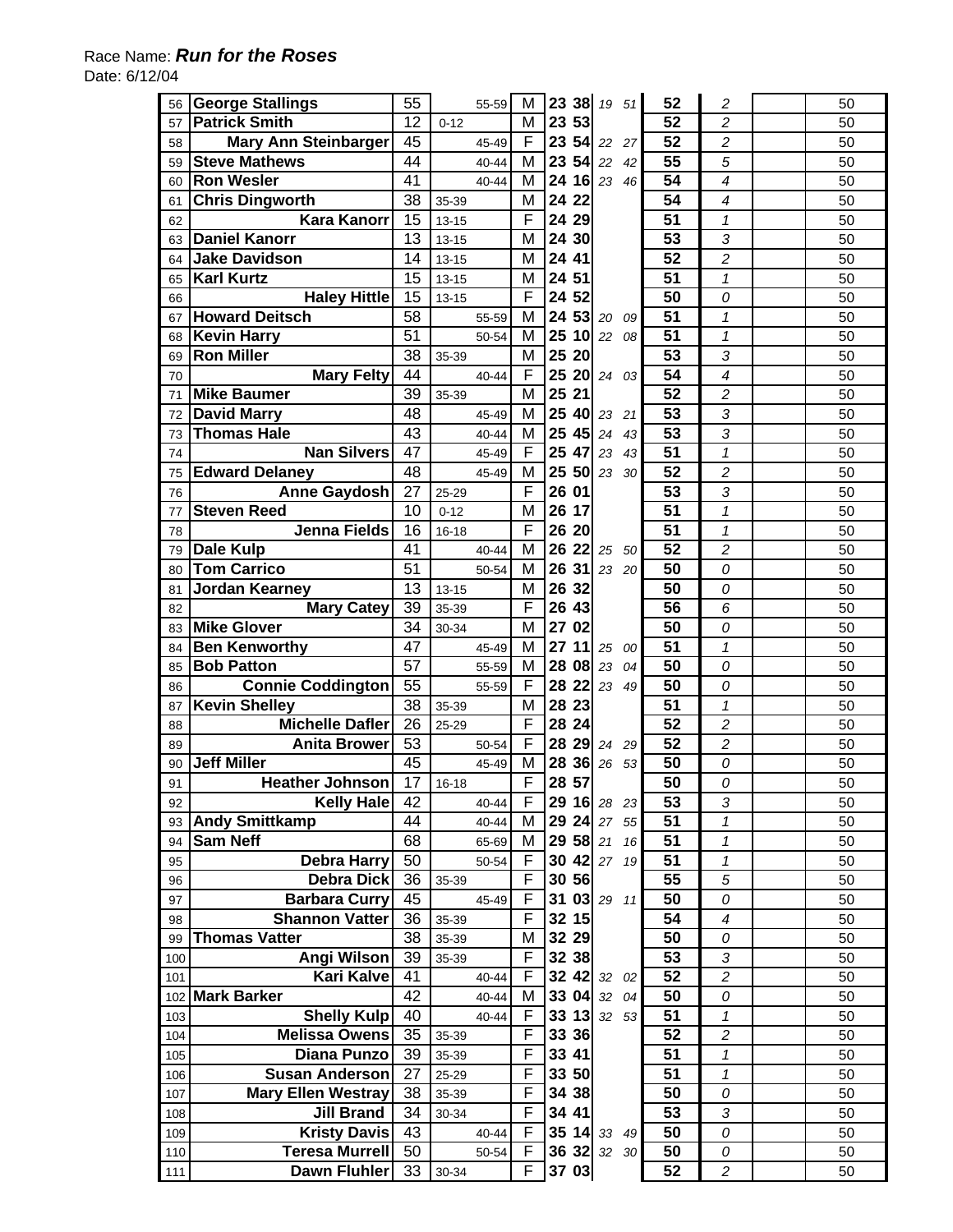## Race Name: *Run for the Roses* Date: 6/12/04